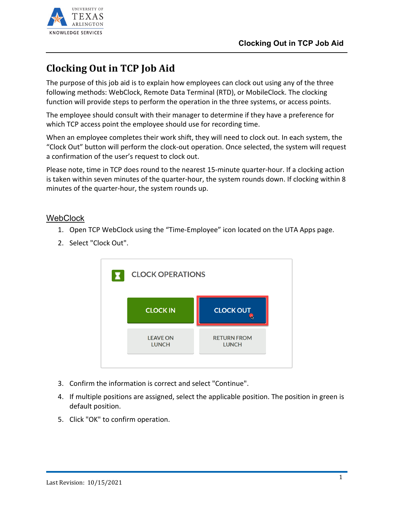

# **Clocking Out in TCP Job Aid**

The purpose of this job aid is to explain how employees can clock out using any of the three following methods: WebClock, Remote Data Terminal (RTD), or MobileClock. The clocking function will provide steps to perform the operation in the three systems, or access points.

The employee should consult with their manager to determine if they have a preference for which TCP access point the employee should use for recording time.

When an employee completes their work shift, they will need to clock out. In each system, the "Clock Out" button will perform the clock-out operation. Once selected, the system will request a confirmation of the user's request to clock out.

Please note, time in TCP does round to the nearest 15-minute quarter-hour. If a clocking action is taken within seven minutes of the quarter-hour, the system rounds down. If clocking within 8 minutes of the quarter-hour, the system rounds up.

### WebClock

- 1. Open TCP WebClock using the "Time-Employee" icon located on the UTA Apps page.
- 2. Select "Clock Out".



- 3. Confirm the information is correct and select "Continue".
- 4. If multiple positions are assigned, select the applicable position. The position in green is default position.
- 5. Click "OK" to confirm operation.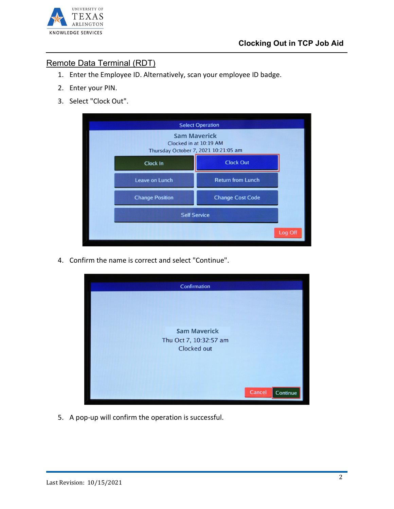

## Remote Data Terminal (RDT)

- 1. Enter the Employee ID. Alternatively, scan your employee ID badge.
- 2. Enter your PIN.
- 3. Select "Clock Out".

| <b>Select Operation</b>                                                               |                          |
|---------------------------------------------------------------------------------------|--------------------------|
| <b>Sam Maverick</b><br>Clocked in at 10:19 AM<br>Thursday October 7, 2021 10:21:05 am |                          |
| <b>Clock In</b>                                                                       | <b>Clock Out</b>         |
| <b>Leave on Lunch</b>                                                                 | <b>Return from Lunch</b> |
| <b>Change Position</b>                                                                | <b>Change Cost Code</b>  |
| <b>Self Service</b>                                                                   |                          |
| Log Off                                                                               |                          |

4. Confirm the name is correct and select "Continue".



5. A pop-up will confirm the operation is successful.